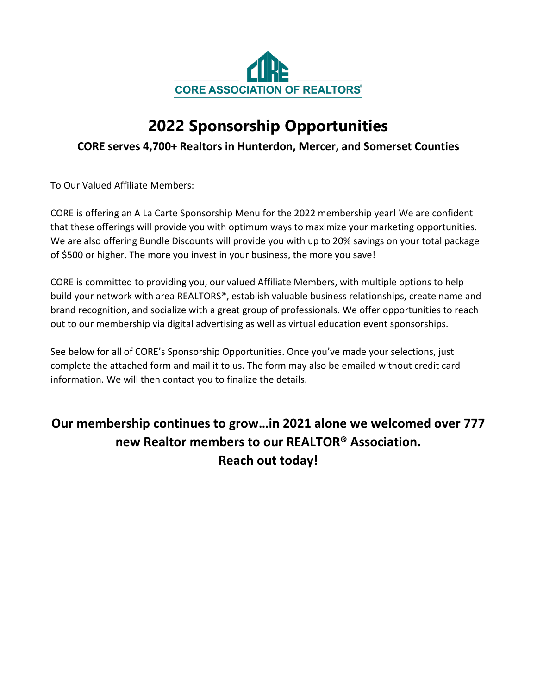

# **2022 Sponsorship Opportunities**

### **CORE serves 4,700+ Realtors in Hunterdon, Mercer, and Somerset Counties**

To Our Valued Affiliate Members:

CORE is offering an A La Carte Sponsorship Menu for the 2022 membership year! We are confident that these offerings will provide you with optimum ways to maximize your marketing opportunities. We are also offering Bundle Discounts will provide you with up to 20% savings on your total package of \$500 or higher. The more you invest in your business, the more you save!

CORE is committed to providing you, our valued Affiliate Members, with multiple options to help build your network with area REALTORS®, establish valuable business relationships, create name and brand recognition, and socialize with a great group of professionals. We offer opportunities to reach out to our membership via digital advertising as well as virtual education event sponsorships.

See below for all of CORE's Sponsorship Opportunities. Once you've made your selections, just complete the attached form and mail it to us. The form may also be emailed without credit card information. We will then contact you to finalize the details.

## **Our membership continues to grow…in 2021 alone we welcomed over 777 new Realtor members to our REALTOR® Association. Reach out today!**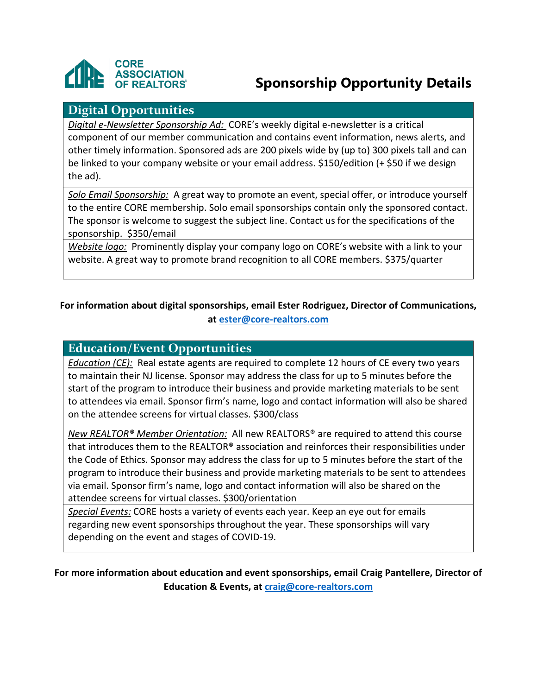

## **Sponsorship Opportunity Details**

### **Digital Opportunities**

*Digital e-Newsletter Sponsorship Ad:* CORE's weekly digital e-newsletter is a critical component of our member communication and contains event information, news alerts, and other timely information. Sponsored ads are 200 pixels wide by (up to) 300 pixels tall and can be linked to your company website or your email address. \$150/edition (+ \$50 if we design the ad).

*Solo Email Sponsorship:* A great way to promote an event, special offer, or introduce yourself to the entire CORE membership. Solo email sponsorships contain only the sponsored contact. The sponsor is welcome to suggest the subject line. Contact us for the specifications of the sponsorship. \$350/email

*Website logo:* Prominently display your company logo on CORE's website with a link to your website. A great way to promote brand recognition to all CORE members. \$375/quarter

#### **For information about digital sponsorships, email Ester Rodriguez, Director of Communications, at ester@core-realtors.com**

#### **Education/Event Opportunities**

*Education (CE):* Real estate agents are required to complete 12 hours of CE every two years to maintain their NJ license. Sponsor may address the class for up to 5 minutes before the start of the program to introduce their business and provide marketing materials to be sent to attendees via email. Sponsor firm's name, logo and contact information will also be shared on the attendee screens for virtual classes. \$300/class

*New REALTOR® Member Orientation:* All new REALTORS® are required to attend this course that introduces them to the REALTOR<sup>®</sup> association and reinforces their responsibilities under the Code of Ethics. Sponsor may address the class for up to 5 minutes before the start of the program to introduce their business and provide marketing materials to be sent to attendees via email. Sponsor firm's name, logo and contact information will also be shared on the attendee screens for virtual classes. \$300/orientation

*Special Events:* CORE hosts a variety of events each year. Keep an eye out for emails regarding new event sponsorships throughout the year. These sponsorships will vary depending on the event and stages of COVID-19.

**For more information about education and event sponsorships, email Craig Pantellere, Director of Education & Events, at craig@core-realtors.com**